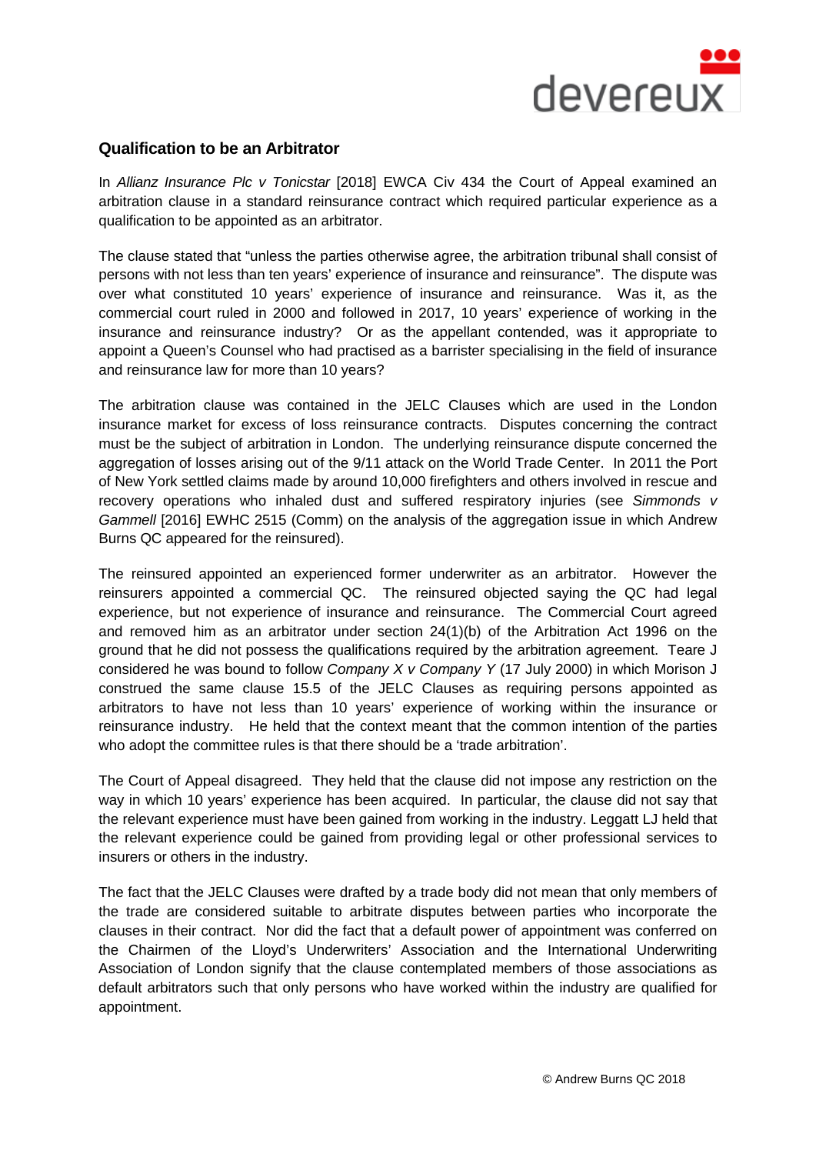

## **Qualification to be an Arbitrator**

In *Allianz Insurance Plc v Tonicstar* [2018] EWCA Civ 434 the Court of Appeal examined an arbitration clause in a standard reinsurance contract which required particular experience as a qualification to be appointed as an arbitrator.

The clause stated that "unless the parties otherwise agree, the arbitration tribunal shall consist of persons with not less than ten years' experience of insurance and reinsurance". The dispute was over what constituted 10 years' experience of insurance and reinsurance. Was it, as the commercial court ruled in 2000 and followed in 2017, 10 years' experience of working in the insurance and reinsurance industry? Or as the appellant contended, was it appropriate to appoint a Queen's Counsel who had practised as a barrister specialising in the field of insurance and reinsurance law for more than 10 years?

The arbitration clause was contained in the JELC Clauses which are used in the London insurance market for excess of loss reinsurance contracts. Disputes concerning the contract must be the subject of arbitration in London. The underlying reinsurance dispute concerned the aggregation of losses arising out of the 9/11 attack on the World Trade Center. In 2011 the Port of New York settled claims made by around 10,000 firefighters and others involved in rescue and recovery operations who inhaled dust and suffered respiratory injuries (see *Simmonds v Gammell* [2016] EWHC 2515 (Comm) on the analysis of the aggregation issue in which Andrew Burns QC appeared for the reinsured).

The reinsured appointed an experienced former underwriter as an arbitrator. However the reinsurers appointed a commercial QC. The reinsured objected saying the QC had legal experience, but not experience of insurance and reinsurance. The Commercial Court agreed and removed him as an arbitrator under section 24(1)(b) of the Arbitration Act 1996 on the ground that he did not possess the qualifications required by the arbitration agreement. Teare J considered he was bound to follow *Company X v Company Y* (17 July 2000) in which Morison J construed the same clause 15.5 of the JELC Clauses as requiring persons appointed as arbitrators to have not less than 10 years' experience of working within the insurance or reinsurance industry. He held that the context meant that the common intention of the parties who adopt the committee rules is that there should be a 'trade arbitration'.

The Court of Appeal disagreed. They held that the clause did not impose any restriction on the way in which 10 years' experience has been acquired. In particular, the clause did not say that the relevant experience must have been gained from working in the industry. Leggatt LJ held that the relevant experience could be gained from providing legal or other professional services to insurers or others in the industry.

The fact that the JELC Clauses were drafted by a trade body did not mean that only members of the trade are considered suitable to arbitrate disputes between parties who incorporate the clauses in their contract. Nor did the fact that a default power of appointment was conferred on the Chairmen of the Lloyd's Underwriters' Association and the International Underwriting Association of London signify that the clause contemplated members of those associations as default arbitrators such that only persons who have worked within the industry are qualified for appointment.